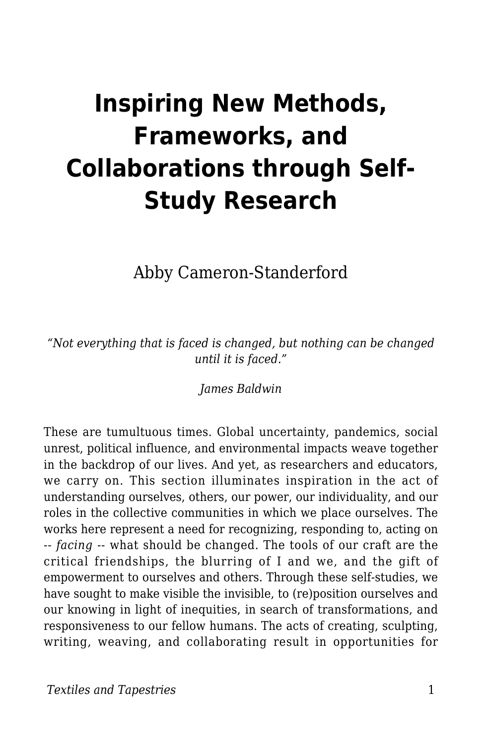## **Inspiring New Methods, Frameworks, and Collaborations through Self-Study Research**

Abby Cameron-Standerford

*"Not everything that is faced is changed, but nothing can be changed until it is faced."*

*James Baldwin*

These are tumultuous times. Global uncertainty, pandemics, social unrest, political influence, and environmental impacts weave together in the backdrop of our lives. And yet, as researchers and educators, we carry on. This section illuminates inspiration in the act of understanding ourselves, others, our power, our individuality, and our roles in the collective communities in which we place ourselves. The works here represent a need for recognizing, responding to, acting on -- *facing* -- what should be changed. The tools of our craft are the critical friendships, the blurring of I and we, and the gift of empowerment to ourselves and others. Through these self-studies, we have sought to make visible the invisible, to (re)position ourselves and our knowing in light of inequities, in search of transformations, and responsiveness to our fellow humans. The acts of creating, sculpting, writing, weaving, and collaborating result in opportunities for

**Textiles and Tapestries** 1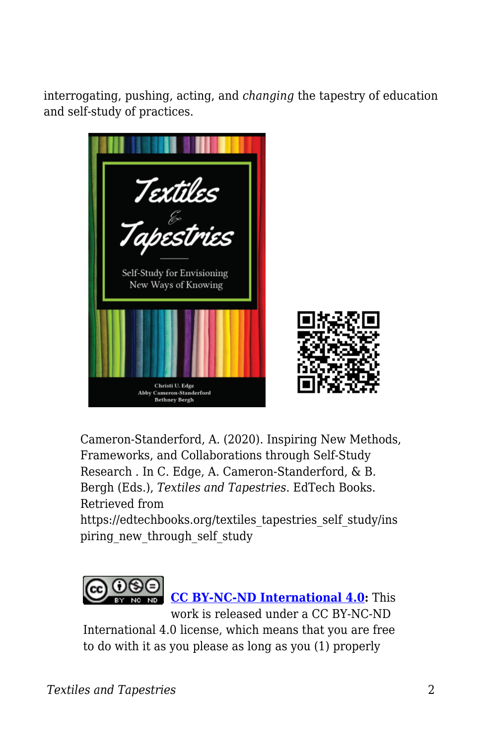interrogating, pushing, acting, and *changing* the tapestry of education and self-study of practices.



Cameron-Standerford, A. (2020). Inspiring New Methods, Frameworks, and Collaborations through Self-Study Research . In C. Edge, A. Cameron-Standerford, & B. Bergh (Eds.), *Textiles and Tapestries*. EdTech Books. Retrieved from

https://edtechbooks.org/textiles\_tapestries\_self\_study/ins piring new through self study



**[CC BY-NC-ND International 4.0:](https://creativecommons.org/licenses/by-nc-nd/4.0/)** This

work is released under a CC BY-NC-ND International 4.0 license, which means that you are free to do with it as you please as long as you (1) properly